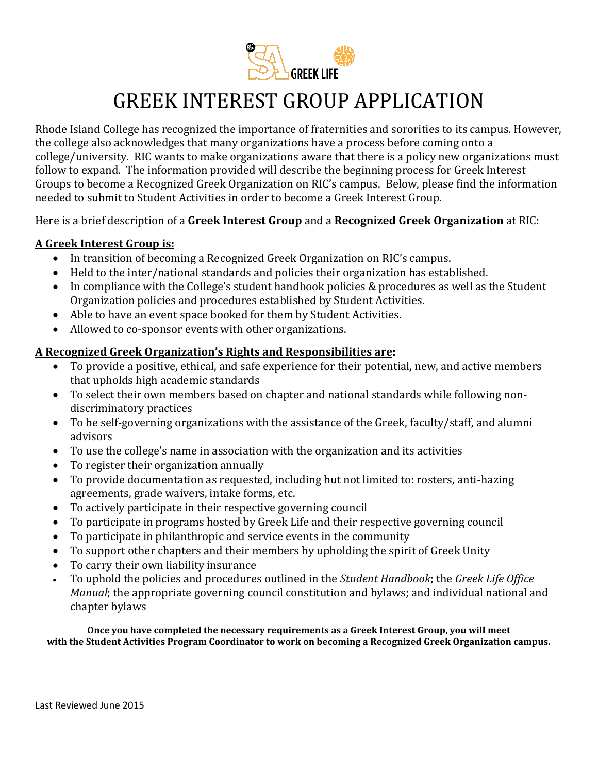

# GREEK INTEREST GROUP APPLICATION

Rhode Island College has recognized the importance of fraternities and sororities to its campus. However, the college also acknowledges that many organizations have a process before coming onto a college/university. RIC wants to make organizations aware that there is a policy new organizations must follow to expand. The information provided will describe the beginning process for Greek Interest Groups to become a Recognized Greek Organization on RIC's campus. Below, please find the information needed to submit to Student Activities in order to become a Greek Interest Group.

Here is a brief description of a **Greek Interest Group** and a **Recognized Greek Organization** at RIC:

### **A Greek Interest Group is:**

- In transition of becoming a Recognized Greek Organization on RIC's campus.
- Held to the inter/national standards and policies their organization has established.
- In compliance with the College's student handbook policies & procedures as well as the Student Organization policies and procedures established by Student Activities.
- Able to have an event space booked for them by Student Activities.
- Allowed to co-sponsor events with other organizations.

### **A Recognized Greek Organization's Rights and Responsibilities are:**

- To provide a positive, ethical, and safe experience for their potential, new, and active members that upholds high academic standards
- To select their own members based on chapter and national standards while following nondiscriminatory practices
- To be self-governing organizations with the assistance of the Greek, faculty/staff, and alumni advisors
- To use the college's name in association with the organization and its activities
- To register their organization annually
- To provide documentation as requested, including but not limited to: rosters, anti-hazing agreements, grade waivers, intake forms, etc.
- To actively participate in their respective governing council
- To participate in programs hosted by Greek Life and their respective governing council
- To participate in philanthropic and service events in the community
- To support other chapters and their members by upholding the spirit of Greek Unity
- To carry their own liability insurance
- To uphold the policies and procedures outlined in the *Student Handbook*; the *Greek Life Office Manual*; the appropriate governing council constitution and bylaws; and individual national and chapter bylaws

**Once you have completed the necessary requirements as a Greek Interest Group, you will meet with the Student Activities Program Coordinator to work on becoming a Recognized Greek Organization campus.**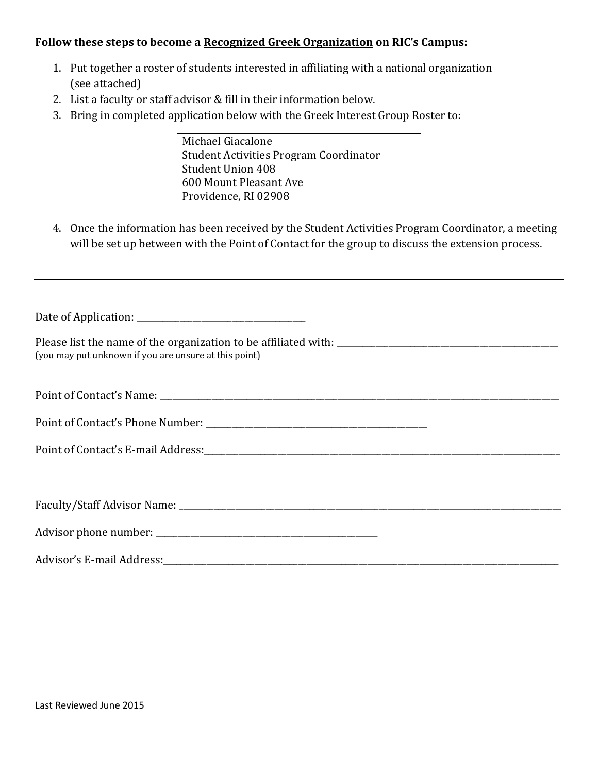### **Follow these steps to become a Recognized Greek Organization on RIC's Campus:**

- 1. Put together a roster of students interested in affiliating with a national organization (see attached)
- 2. List a faculty or staff advisor & fill in their information below.
- 3. Bring in completed application below with the Greek Interest Group Roster to:

Michael Giacalone Student Activities Program Coordinator Student Union 408 600 Mount Pleasant Ave Providence, RI 02908

4. Once the information has been received by the Student Activities Program Coordinator, a meeting will be set up between with the Point of Contact for the group to discuss the extension process.

| (you may put unknown if you are unsure at this point)                                  |
|----------------------------------------------------------------------------------------|
|                                                                                        |
|                                                                                        |
| Point of Contact's E-mail Address: North American Control of Contact's E-mail Address: |
|                                                                                        |
|                                                                                        |
|                                                                                        |
|                                                                                        |